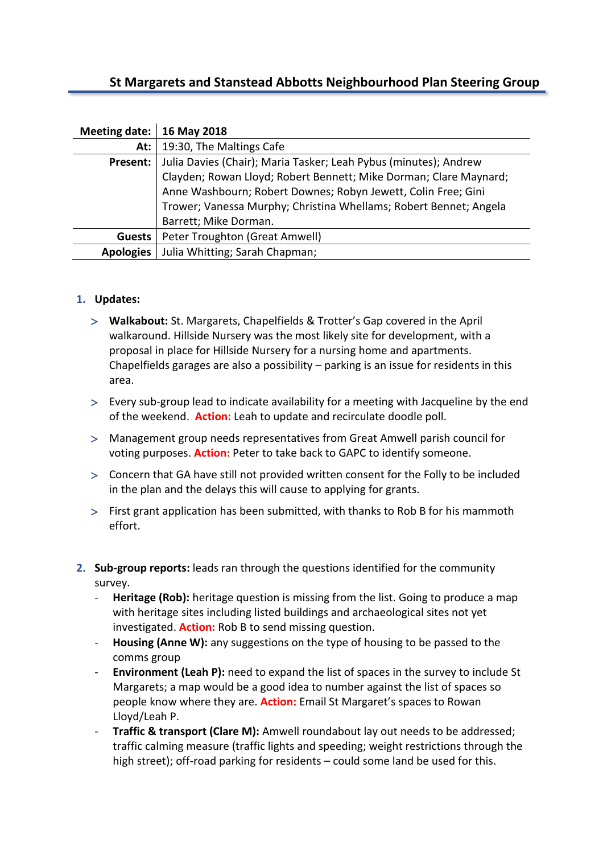# **St Margarets and Stanstead Abbotts Neighbourhood Plan Steering Group**

| Meeting date:   16 May 2018 |                                                                   |
|-----------------------------|-------------------------------------------------------------------|
| At:                         | 19:30, The Maltings Cafe                                          |
| Present:                    | Julia Davies (Chair); Maria Tasker; Leah Pybus (minutes); Andrew  |
|                             | Clayden; Rowan Lloyd; Robert Bennett; Mike Dorman; Clare Maynard; |
|                             | Anne Washbourn; Robert Downes; Robyn Jewett, Colin Free; Gini     |
|                             | Trower; Vanessa Murphy; Christina Whellams; Robert Bennet; Angela |
|                             | Barrett; Mike Dorman.                                             |
| <b>Guests</b>               | Peter Troughton (Great Amwell)                                    |
| <b>Apologies</b>            | Julia Whitting; Sarah Chapman;                                    |

### **1. Updates:**

- **Walkabout:** St. Margarets, Chapelfields & Trotter's Gap covered in the April walkaround. Hillside Nursery was the most likely site for development, with a proposal in place for Hillside Nursery for a nursing home and apartments. Chapelfields garages are also a possibility – parking is an issue for residents in this area.
- Every sub-group lead to indicate availability for a meeting with Jacqueline by the end of the weekend. **Action:** Leah to update and recirculate doodle poll.
- Management group needs representatives from Great Amwell parish council for voting purposes. **Action:** Peter to take back to GAPC to identify someone.
- Concern that GA have still not provided written consent for the Folly to be included in the plan and the delays this will cause to applying for grants.
- First grant application has been submitted, with thanks to Rob B for his mammoth effort.
- **2. Sub-group reports:** leads ran through the questions identified for the community survey.
	- **Heritage (Rob):** heritage question is missing from the list. Going to produce a map with heritage sites including listed buildings and archaeological sites not yet investigated. **Action:** Rob B to send missing question.
	- **Housing (Anne W):** any suggestions on the type of housing to be passed to the comms group
	- **Environment (Leah P):** need to expand the list of spaces in the survey to include St Margarets; a map would be a good idea to number against the list of spaces so people know where they are. **Action:** Email St Margaret's spaces to Rowan Lloyd/Leah P.
	- **Traffic & transport (Clare M):** Amwell roundabout lay out needs to be addressed; traffic calming measure (traffic lights and speeding; weight restrictions through the high street); off-road parking for residents – could some land be used for this.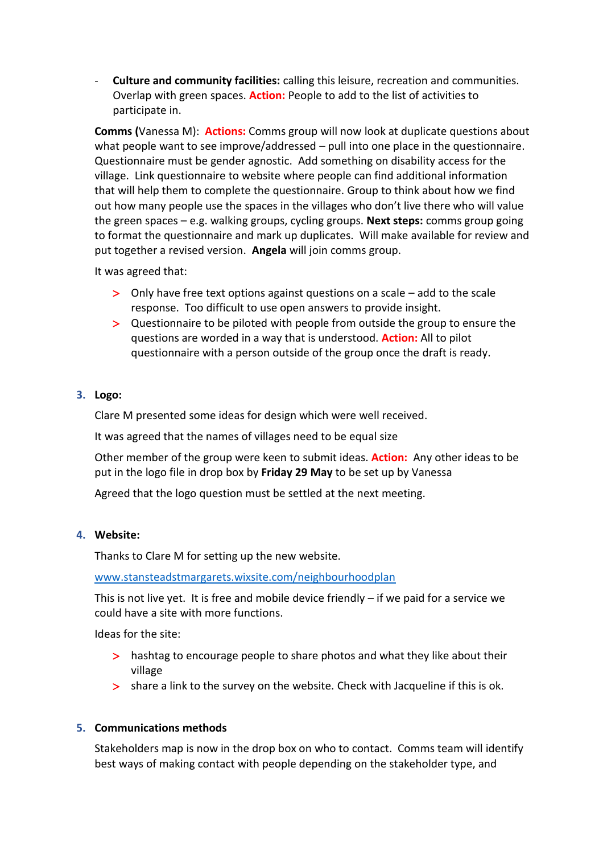- **Culture and community facilities:** calling this leisure, recreation and communities. Overlap with green spaces. **Action:** People to add to the list of activities to participate in.

**Comms (**Vanessa M): **Actions:** Comms group will now look at duplicate questions about what people want to see improve/addressed – pull into one place in the questionnaire. Questionnaire must be gender agnostic. Add something on disability access for the village. Link questionnaire to website where people can find additional information that will help them to complete the questionnaire. Group to think about how we find out how many people use the spaces in the villages who don't live there who will value the green spaces – e.g. walking groups, cycling groups. **Next steps:** comms group going to format the questionnaire and mark up duplicates. Will make available for review and put together a revised version. **Angela** will join comms group.

It was agreed that:

- Only have free text options against questions on a scale add to the scale response. Too difficult to use open answers to provide insight.
- Questionnaire to be piloted with people from outside the group to ensure the questions are worded in a way that is understood. **Action:** All to pilot questionnaire with a person outside of the group once the draft is ready.

### **3. Logo:**

Clare M presented some ideas for design which were well received.

It was agreed that the names of villages need to be equal size

Other member of the group were keen to submit ideas. **Action:** Any other ideas to be put in the logo file in drop box by **Friday 29 May** to be set up by Vanessa

Agreed that the logo question must be settled at the next meeting.

#### **4. Website:**

Thanks to Clare M for setting up the new website.

[www.stansteadstmargarets.wixsite.com/neighbourhoodplan](http://www.stansteadstmargarets.wixsite.com/neighbourhoodplan)

This is not live yet. It is free and mobile device friendly – if we paid for a service we could have a site with more functions.

Ideas for the site:

- > hashtag to encourage people to share photos and what they like about their village
- share a link to the survey on the website. Check with Jacqueline if this is ok.

### **5. Communications methods**

Stakeholders map is now in the drop box on who to contact. Comms team will identify best ways of making contact with people depending on the stakeholder type, and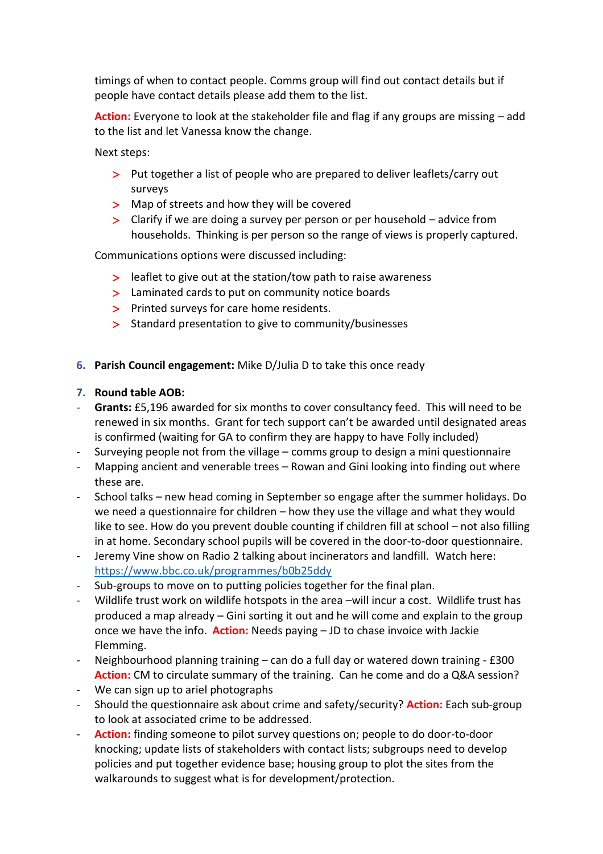timings of when to contact people. Comms group will find out contact details but if people have contact details please add them to the list.

**Action:** Everyone to look at the stakeholder file and flag if any groups are missing – add to the list and let Vanessa know the change.

Next steps:

- > Put together a list of people who are prepared to deliver leaflets/carry out surveys
- > Map of streets and how they will be covered
- Clarify if we are doing a survey per person or per household advice from households. Thinking is per person so the range of views is properly captured.

Communications options were discussed including:

- leaflet to give out at the station/tow path to raise awareness
- > Laminated cards to put on community notice boards
- > Printed surveys for care home residents.
- > Standard presentation to give to community/businesses
- **6. Parish Council engagement:** Mike D/Julia D to take this once ready

## **7. Round table AOB:**

- Grants: £5,196 awarded for six months to cover consultancy feed. This will need to be renewed in six months. Grant for tech support can't be awarded until designated areas is confirmed (waiting for GA to confirm they are happy to have Folly included)
- Surveying people not from the village  $-$  comms group to design a mini questionnaire
- Mapping ancient and venerable trees Rowan and Gini looking into finding out where these are.
- School talks new head coming in September so engage after the summer holidays. Do we need a questionnaire for children – how they use the village and what they would like to see. How do you prevent double counting if children fill at school – not also filling in at home. Secondary school pupils will be covered in the door-to-door questionnaire.
- Jeremy Vine show on Radio 2 talking about incinerators and landfill. Watch here: <https://www.bbc.co.uk/programmes/b0b25ddy>
- Sub-groups to move on to putting policies together for the final plan.
- Wildlife trust work on wildlife hotspots in the area –will incur a cost. Wildlife trust has produced a map already – Gini sorting it out and he will come and explain to the group once we have the info. **Action:** Needs paying – JD to chase invoice with Jackie Flemming.
- Neighbourhood planning training can do a full day or watered down training £300 Action: CM to circulate summary of the training. Can he come and do a Q&A session?
- We can sign up to ariel photographs
- Should the questionnaire ask about crime and safety/security? **Action:** Each sub-group to look at associated crime to be addressed.
- **Action:** finding someone to pilot survey questions on; people to do door-to-door knocking; update lists of stakeholders with contact lists; subgroups need to develop policies and put together evidence base; housing group to plot the sites from the walkarounds to suggest what is for development/protection.